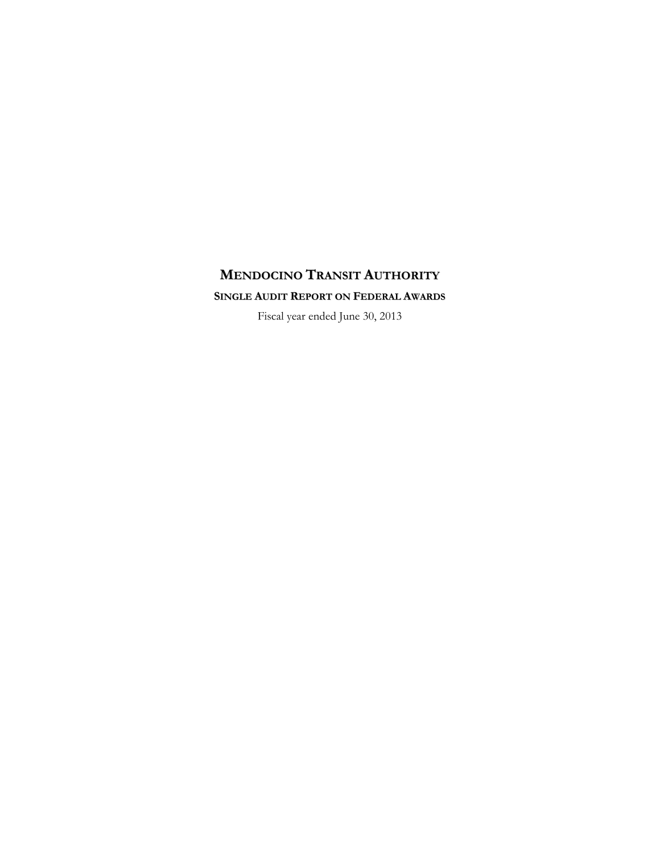# **MENDOCINO TRANSIT AUTHORITY SINGLE AUDIT REPORT ON FEDERAL AWARDS**

Fiscal year ended June 30, 2013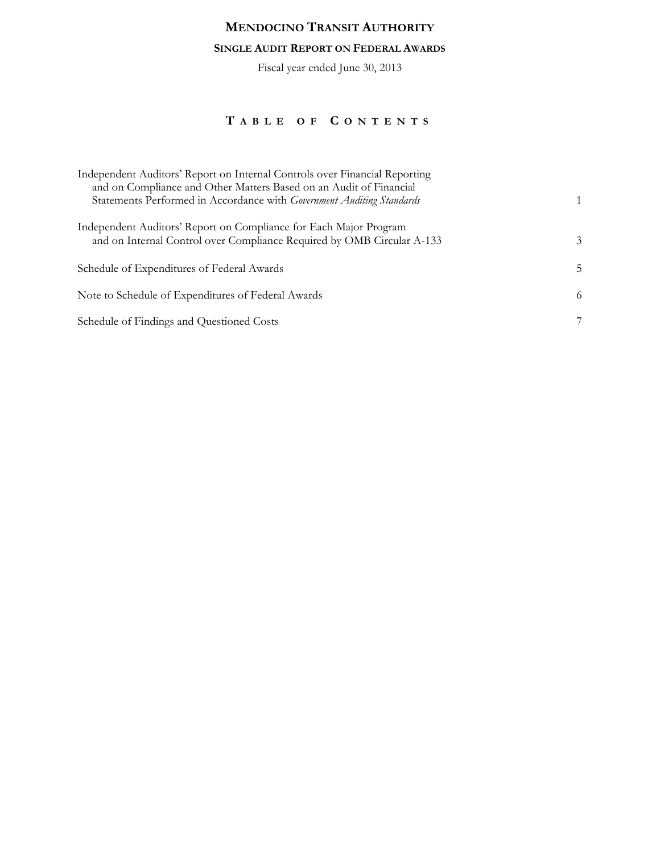### **SINGLE AUDIT REPORT ON FEDERAL AWARDS**

Fiscal year ended June 30, 2013

# **T ABLE OF C ONTENTS**

| Independent Auditors' Report on Internal Controls over Financial Reporting<br>and on Compliance and Other Matters Based on an Audit of Financial |    |
|--------------------------------------------------------------------------------------------------------------------------------------------------|----|
| Statements Performed in Accordance with Government Auditing Standards                                                                            |    |
| Independent Auditors' Report on Compliance for Each Major Program<br>and on Internal Control over Compliance Required by OMB Circular A-133      | 3  |
| Schedule of Expenditures of Federal Awards                                                                                                       | 5. |
| Note to Schedule of Expenditures of Federal Awards                                                                                               | 6  |
| Schedule of Findings and Questioned Costs                                                                                                        | 7  |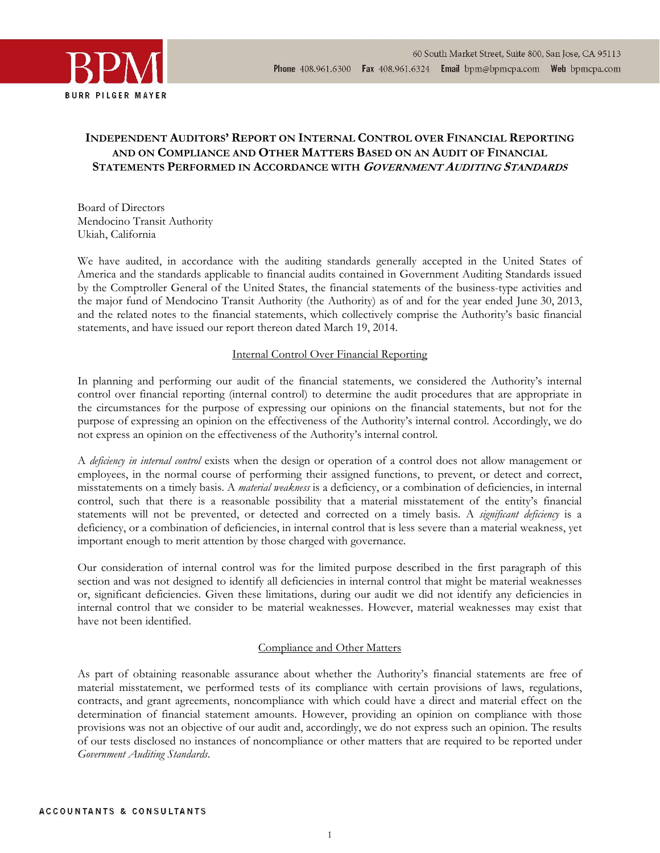



## **INDEPENDENT AUDITORS' REPORT ON INTERNAL CONTROL OVER FINANCIAL REPORTING AND ON COMPLIANCE AND OTHER MATTERS BASED ON AN AUDIT OF FINANCIAL STATEMENTS PERFORMED IN ACCORDANCE WITH <sup>G</sup>OVERNMENT AUDITING STANDARDS**

Board of Directors Mendocino Transit Authority Ukiah, California

We have audited, in accordance with the auditing standards generally accepted in the United States of America and the standards applicable to financial audits contained in Government Auditing Standards issued by the Comptroller General of the United States, the financial statements of the business-type activities and the major fund of Mendocino Transit Authority (the Authority) as of and for the year ended June 30, 2013, and the related notes to the financial statements, which collectively comprise the Authority's basic financial statements, and have issued our report thereon dated March 19, 2014.

### Internal Control Over Financial Reporting

In planning and performing our audit of the financial statements, we considered the Authority's internal control over financial reporting (internal control) to determine the audit procedures that are appropriate in the circumstances for the purpose of expressing our opinions on the financial statements, but not for the purpose of expressing an opinion on the effectiveness of the Authority's internal control. Accordingly, we do not express an opinion on the effectiveness of the Authority's internal control.

A *deficiency in internal control* exists when the design or operation of a control does not allow management or employees, in the normal course of performing their assigned functions, to prevent, or detect and correct, misstatements on a timely basis. A *material weakness* is a deficiency, or a combination of deficiencies, in internal control, such that there is a reasonable possibility that a material misstatement of the entity's financial statements will not be prevented, or detected and corrected on a timely basis. A *significant deficiency* is a deficiency, or a combination of deficiencies, in internal control that is less severe than a material weakness, yet important enough to merit attention by those charged with governance.

Our consideration of internal control was for the limited purpose described in the first paragraph of this section and was not designed to identify all deficiencies in internal control that might be material weaknesses or, significant deficiencies. Given these limitations, during our audit we did not identify any deficiencies in internal control that we consider to be material weaknesses. However, material weaknesses may exist that have not been identified.

#### Compliance and Other Matters

As part of obtaining reasonable assurance about whether the Authority's financial statements are free of material misstatement, we performed tests of its compliance with certain provisions of laws, regulations, contracts, and grant agreements, noncompliance with which could have a direct and material effect on the determination of financial statement amounts. However, providing an opinion on compliance with those provisions was not an objective of our audit and, accordingly, we do not express such an opinion. The results of our tests disclosed no instances of noncompliance or other matters that are required to be reported under *Government Auditing Standards*.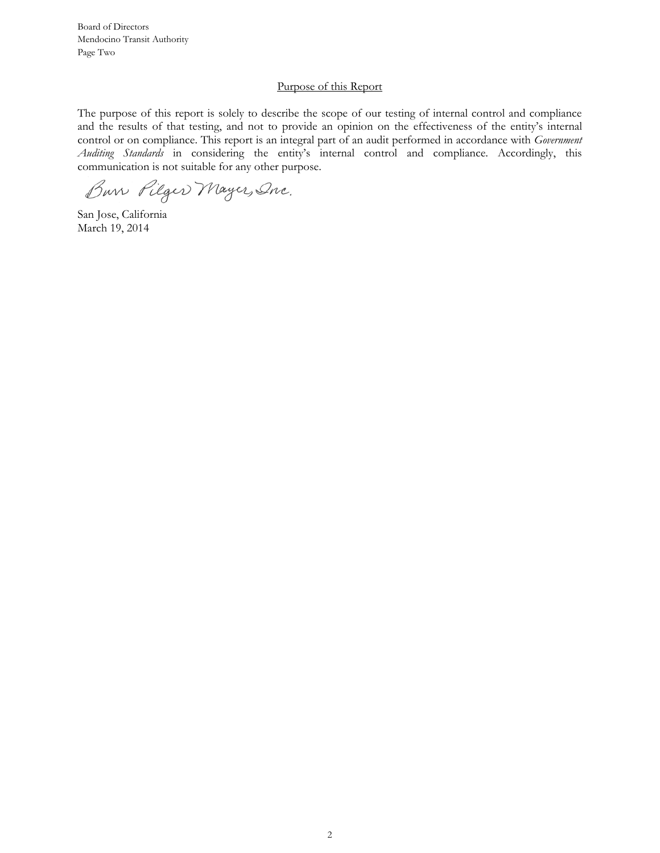Board of Directors Mendocino Transit Authority Page Two

#### Purpose of this Report

The purpose of this report is solely to describe the scope of our testing of internal control and compliance and the results of that testing, and not to provide an opinion on the effectiveness of the entity's internal control or on compliance. This report is an integral part of an audit performed in accordance with *Government Auditing Standards* in considering the entity's internal control and compliance. Accordingly, this communication is not suitable for any other purpose.

Bur Pilger Mayer, Onc.

San Jose, California March 19, 2014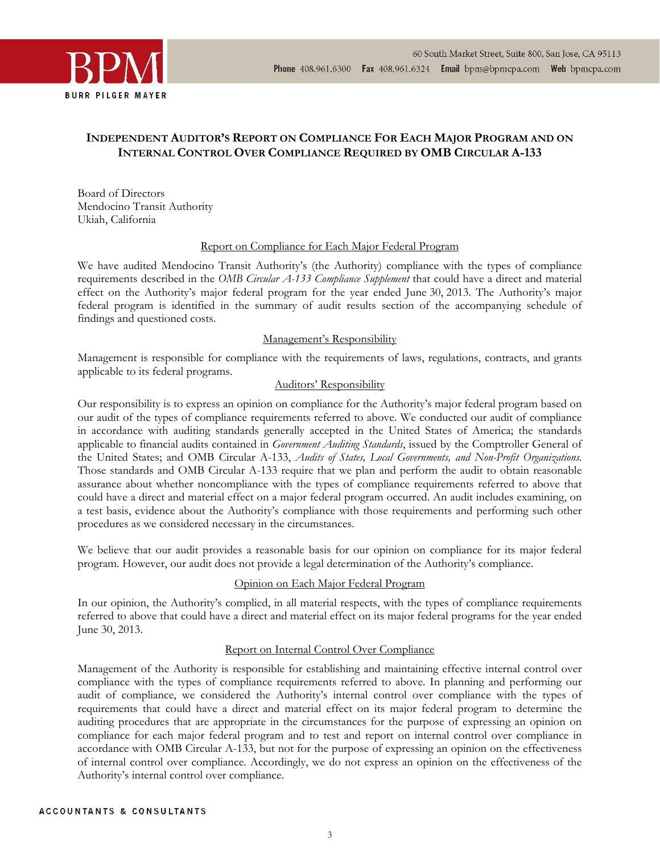



## **INDEPENDENT AUDITOR'S REPORT ON COMPLIANCE FOR EACH MAJOR PROGRAM AND ON INTERNAL CONTROL OVER COMPLIANCE REQUIRED BY OMB CIRCULAR A-133**

Board of Directors Mendocino Transit Authority Ukiah, California

### Report on Compliance for Each Major Federal Program

We have audited Mendocino Transit Authority's (the Authority) compliance with the types of compliance requirements described in the *OMB Circular A-133 Compliance Supplement* that could have a direct and material effect on the Authority's major federal program for the year ended June 30, 2013. The Authority's major federal program is identified in the summary of audit results section of the accompanying schedule of findings and questioned costs.

#### Management's Responsibility

Management is responsible for compliance with the requirements of laws, regulations, contracts, and grants applicable to its federal programs.

## Auditors' Responsibility

Our responsibility is to express an opinion on compliance for the Authority's major federal program based on our audit of the types of compliance requirements referred to above. We conducted our audit of compliance in accordance with auditing standards generally accepted in the United States of America; the standards applicable to financial audits contained in *Government Auditing Standards*, issued by the Comptroller General of the United States; and OMB Circular A-133, *Audits of States, Local Governments, and Non-Profit Organizations*. Those standards and OMB Circular A-133 require that we plan and perform the audit to obtain reasonable assurance about whether noncompliance with the types of compliance requirements referred to above that could have a direct and material effect on a major federal program occurred. An audit includes examining, on a test basis, evidence about the Authority's compliance with those requirements and performing such other procedures as we considered necessary in the circumstances.

We believe that our audit provides a reasonable basis for our opinion on compliance for its major federal program. However, our audit does not provide a legal determination of the Authority's compliance.

#### Opinion on Each Major Federal Program

In our opinion, the Authority's complied, in all material respects, with the types of compliance requirements referred to above that could have a direct and material effect on its major federal programs for the year ended June 30, 2013.

#### Report on Internal Control Over Compliance

Management of the Authority is responsible for establishing and maintaining effective internal control over compliance with the types of compliance requirements referred to above. In planning and performing our audit of compliance, we considered the Authority's internal control over compliance with the types of requirements that could have a direct and material effect on its major federal program to determine the auditing procedures that are appropriate in the circumstances for the purpose of expressing an opinion on compliance for each major federal program and to test and report on internal control over compliance in accordance with OMB Circular A-133, but not for the purpose of expressing an opinion on the effectiveness of internal control over compliance. Accordingly, we do not express an opinion on the effectiveness of the Authority's internal control over compliance.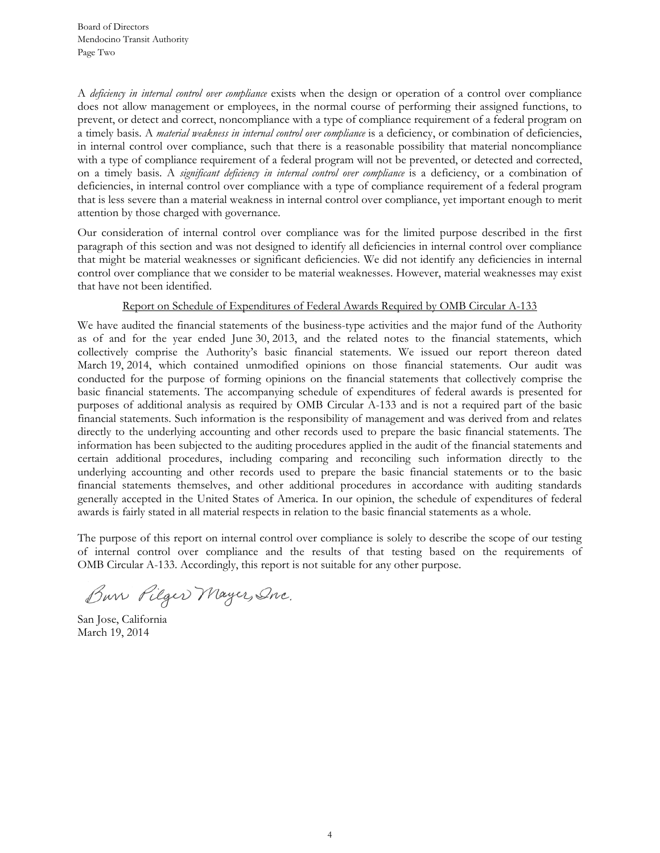A *deficiency in internal control over compliance* exists when the design or operation of a control over compliance does not allow management or employees, in the normal course of performing their assigned functions, to prevent, or detect and correct, noncompliance with a type of compliance requirement of a federal program on a timely basis. A *material weakness in internal control over compliance* is a deficiency, or combination of deficiencies, in internal control over compliance, such that there is a reasonable possibility that material noncompliance with a type of compliance requirement of a federal program will not be prevented, or detected and corrected, on a timely basis. A *significant deficiency in internal control over compliance* is a deficiency, or a combination of deficiencies, in internal control over compliance with a type of compliance requirement of a federal program that is less severe than a material weakness in internal control over compliance, yet important enough to merit attention by those charged with governance.

Our consideration of internal control over compliance was for the limited purpose described in the first paragraph of this section and was not designed to identify all deficiencies in internal control over compliance that might be material weaknesses or significant deficiencies. We did not identify any deficiencies in internal control over compliance that we consider to be material weaknesses. However, material weaknesses may exist that have not been identified.

### Report on Schedule of Expenditures of Federal Awards Required by OMB Circular A-133

We have audited the financial statements of the business-type activities and the major fund of the Authority as of and for the year ended June 30, 2013, and the related notes to the financial statements, which collectively comprise the Authority's basic financial statements. We issued our report thereon dated March 19, 2014, which contained unmodified opinions on those financial statements. Our audit was conducted for the purpose of forming opinions on the financial statements that collectively comprise the basic financial statements. The accompanying schedule of expenditures of federal awards is presented for purposes of additional analysis as required by OMB Circular A-133 and is not a required part of the basic financial statements. Such information is the responsibility of management and was derived from and relates directly to the underlying accounting and other records used to prepare the basic financial statements. The information has been subjected to the auditing procedures applied in the audit of the financial statements and certain additional procedures, including comparing and reconciling such information directly to the underlying accounting and other records used to prepare the basic financial statements or to the basic financial statements themselves, and other additional procedures in accordance with auditing standards generally accepted in the United States of America. In our opinion, the schedule of expenditures of federal awards is fairly stated in all material respects in relation to the basic financial statements as a whole.

The purpose of this report on internal control over compliance is solely to describe the scope of our testing of internal control over compliance and the results of that testing based on the requirements of OMB Circular A-133. Accordingly, this report is not suitable for any other purpose.

Bur Pilger Mayer, Onc.

San Jose, California March 19, 2014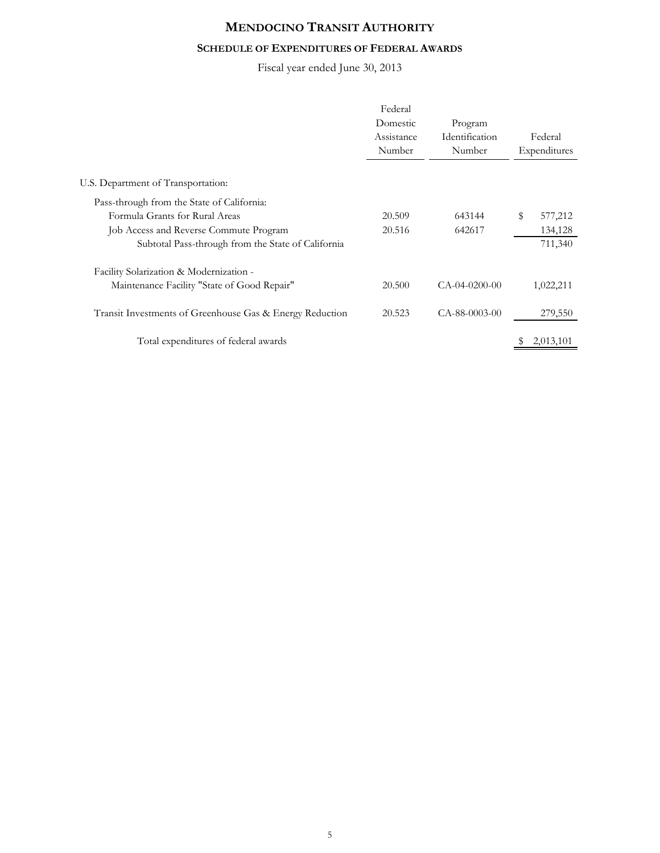## **SCHEDULE OF EXPENDITURES OF FEDERAL AWARDS**

Fiscal year ended June 30, 2013

|                                                          | Federal<br>Domestic<br>Assistance<br>Number | Program<br>Identification<br>Number |    | Federal<br>Expenditures |
|----------------------------------------------------------|---------------------------------------------|-------------------------------------|----|-------------------------|
| U.S. Department of Transportation:                       |                                             |                                     |    |                         |
| Pass-through from the State of California:               |                                             |                                     |    |                         |
| Formula Grants for Rural Areas                           | 20.509                                      | 643144                              | \$ | 577,212                 |
| Job Access and Reverse Commute Program                   | 20.516                                      | 642617                              |    | 134,128                 |
| Subtotal Pass-through from the State of California       |                                             |                                     |    | 711,340                 |
| Facility Solarization & Modernization -                  |                                             |                                     |    |                         |
| Maintenance Facility "State of Good Repair"              | 20.500                                      | $CA-04-0200-00$                     |    | 1,022,211               |
| Transit Investments of Greenhouse Gas & Energy Reduction | 20.523                                      | $CA-88-0003-00$                     |    | 279,550                 |
| Total expenditures of federal awards                     |                                             |                                     | S  | 2,013,101               |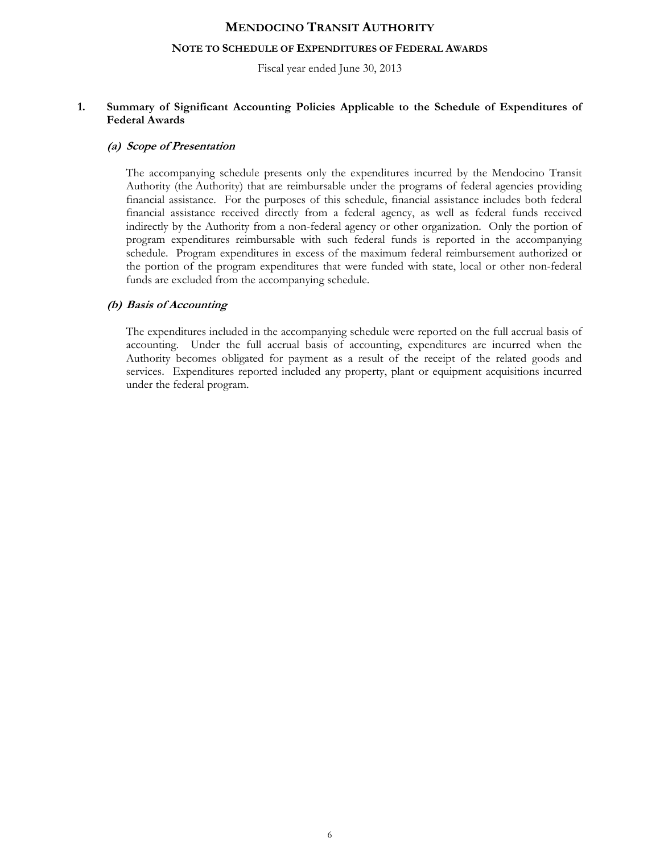#### **NOTE TO SCHEDULE OF EXPENDITURES OF FEDERAL AWARDS**

Fiscal year ended June 30, 2013

#### **1. Summary of Significant Accounting Policies Applicable to the Schedule of Expenditures of Federal Awards**

#### **(a) Scope of Presentation**

The accompanying schedule presents only the expenditures incurred by the Mendocino Transit Authority (the Authority) that are reimbursable under the programs of federal agencies providing financial assistance. For the purposes of this schedule, financial assistance includes both federal financial assistance received directly from a federal agency, as well as federal funds received indirectly by the Authority from a non-federal agency or other organization. Only the portion of program expenditures reimbursable with such federal funds is reported in the accompanying schedule. Program expenditures in excess of the maximum federal reimbursement authorized or the portion of the program expenditures that were funded with state, local or other non-federal funds are excluded from the accompanying schedule.

#### **(b) Basis of Accounting**

The expenditures included in the accompanying schedule were reported on the full accrual basis of accounting. Under the full accrual basis of accounting, expenditures are incurred when the Authority becomes obligated for payment as a result of the receipt of the related goods and services. Expenditures reported included any property, plant or equipment acquisitions incurred under the federal program.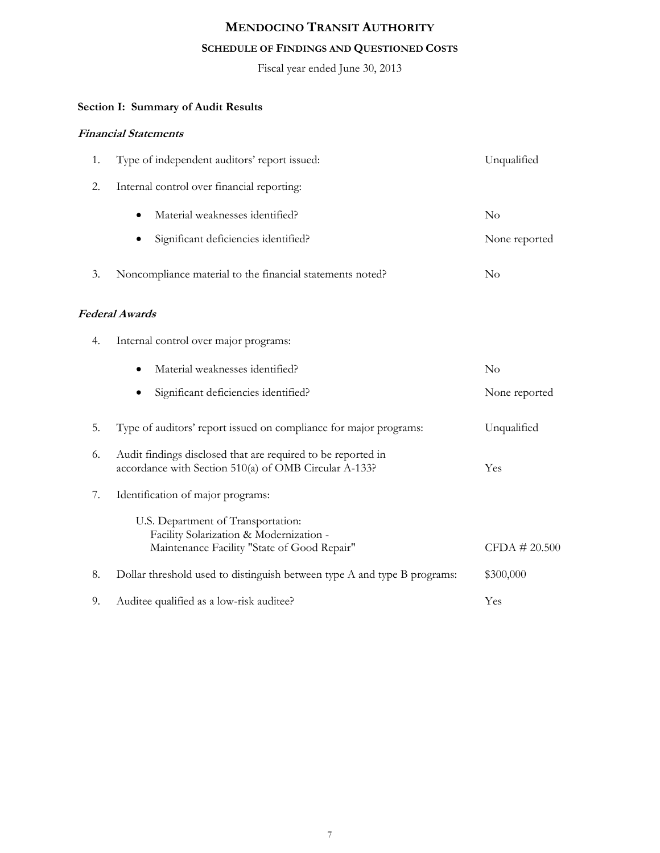## **SCHEDULE OF FINDINGS AND QUESTIONED COSTS**

Fiscal year ended June 30, 2013

# **Section I: Summary of Audit Results**

## **Financial Statements**

| 1. | Type of independent auditors' report issued:                                                                                 | Unqualified   |
|----|------------------------------------------------------------------------------------------------------------------------------|---------------|
| 2. | Internal control over financial reporting:                                                                                   |               |
|    | Material weaknesses identified?                                                                                              | $\rm No$      |
|    | Significant deficiencies identified?                                                                                         | None reported |
| 3. | Noncompliance material to the financial statements noted?                                                                    | No            |
|    | <b>Federal Awards</b>                                                                                                        |               |
| 4. | Internal control over major programs:                                                                                        |               |
|    | Material weaknesses identified?                                                                                              | $\rm No$      |
|    | Significant deficiencies identified?                                                                                         | None reported |
| 5. | Type of auditors' report issued on compliance for major programs:                                                            | Unqualified   |
| 6. | Audit findings disclosed that are required to be reported in<br>accordance with Section 510(a) of OMB Circular A-133?        | Yes           |
| 7. | Identification of major programs:                                                                                            |               |
|    | U.S. Department of Transportation:<br>Facility Solarization & Modernization -<br>Maintenance Facility "State of Good Repair" | CFDA # 20.500 |
| 8. | Dollar threshold used to distinguish between type A and type B programs:                                                     | \$300,000     |
| 9. | Auditee qualified as a low-risk auditee?                                                                                     | Yes           |